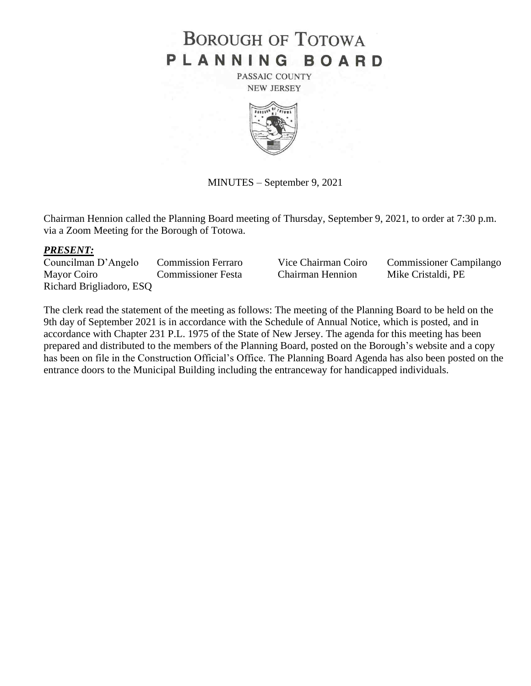# **BOROUGH OF TOTOWA** PLANNING BOARD

PASSAIC COUNTY **NEW JERSEY** 



MINUTES – September 9, 2021

Chairman Hennion called the Planning Board meeting of Thursday, September 9, 2021, to order at 7:30 p.m. via a Zoom Meeting for the Borough of Totowa.

### *PRESENT:*

Councilman D'Angelo Commission Ferraro Vice Chairman Coiro Commissioner Campilango Mayor Coiro Commissioner Festa Chairman Hennion Mike Cristaldi, PE Richard Brigliadoro, ESQ

The clerk read the statement of the meeting as follows: The meeting of the Planning Board to be held on the 9th day of September 2021 is in accordance with the Schedule of Annual Notice, which is posted, and in accordance with Chapter 231 P.L. 1975 of the State of New Jersey. The agenda for this meeting has been prepared and distributed to the members of the Planning Board, posted on the Borough's website and a copy has been on file in the Construction Official's Office. The Planning Board Agenda has also been posted on the entrance doors to the Municipal Building including the entranceway for handicapped individuals.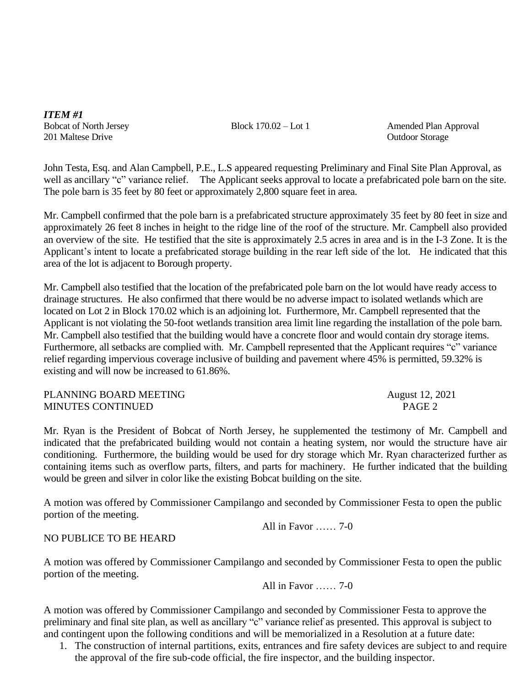*ITEM #1* 201 Maltese Drive **Outdoor Storage Outdoor Storage** 

Bobcat of North Jersey Block 170.02 – Lot 1 Amended Plan Approval

John Testa, Esq. and Alan Campbell, P.E., L.S appeared requesting Preliminary and Final Site Plan Approval, as well as ancillary "c" variance relief. The Applicant seeks approval to locate a prefabricated pole barn on the site. The pole barn is 35 feet by 80 feet or approximately 2,800 square feet in area.

Mr. Campbell confirmed that the pole barn is a prefabricated structure approximately 35 feet by 80 feet in size and approximately 26 feet 8 inches in height to the ridge line of the roof of the structure. Mr. Campbell also provided an overview of the site. He testified that the site is approximately 2.5 acres in area and is in the I-3 Zone. It is the Applicant's intent to locate a prefabricated storage building in the rear left side of the lot. He indicated that this area of the lot is adjacent to Borough property.

Mr. Campbell also testified that the location of the prefabricated pole barn on the lot would have ready access to drainage structures. He also confirmed that there would be no adverse impact to isolated wetlands which are located on Lot 2 in Block 170.02 which is an adjoining lot. Furthermore, Mr. Campbell represented that the Applicant is not violating the 50-foot wetlands transition area limit line regarding the installation of the pole barn. Mr. Campbell also testified that the building would have a concrete floor and would contain dry storage items. Furthermore, all setbacks are complied with. Mr. Campbell represented that the Applicant requires "c" variance relief regarding impervious coverage inclusive of building and pavement where 45% is permitted, 59.32% is existing and will now be increased to 61.86%.

PLANNING BOARD MEETING<br>MINUTES CONTINUED<br>PAGE 2 MINUTES CONTINUED

Mr. Ryan is the President of Bobcat of North Jersey, he supplemented the testimony of Mr. Campbell and indicated that the prefabricated building would not contain a heating system, nor would the structure have air conditioning. Furthermore, the building would be used for dry storage which Mr. Ryan characterized further as containing items such as overflow parts, filters, and parts for machinery. He further indicated that the building would be green and silver in color like the existing Bobcat building on the site.

A motion was offered by Commissioner Campilango and seconded by Commissioner Festa to open the public portion of the meeting.

All in Favor …… 7-0

## NO PUBLICE TO BE HEARD

A motion was offered by Commissioner Campilango and seconded by Commissioner Festa to open the public portion of the meeting.

All in Favor …… 7-0

A motion was offered by Commissioner Campilango and seconded by Commissioner Festa to approve the preliminary and final site plan, as well as ancillary "c" variance relief as presented. This approval is subject to and contingent upon the following conditions and will be memorialized in a Resolution at a future date:

1. The construction of internal partitions, exits, entrances and fire safety devices are subject to and require the approval of the fire sub-code official, the fire inspector, and the building inspector.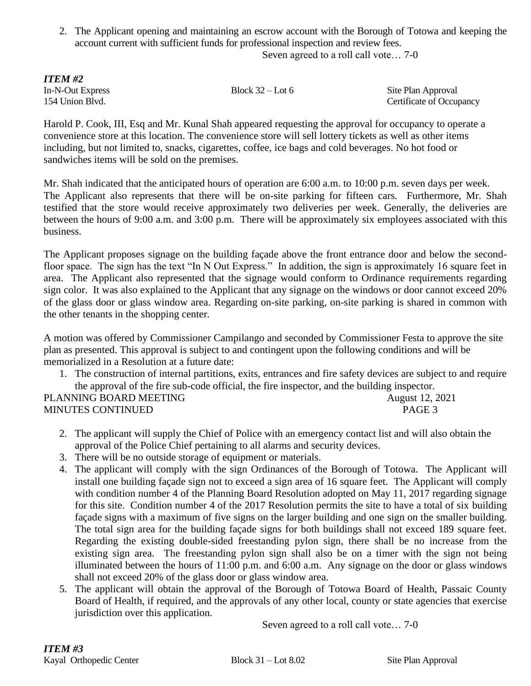2. The Applicant opening and maintaining an escrow account with the Borough of Totowa and keeping the account current with sufficient funds for professional inspection and review fees. Seven agreed to a roll call vote… 7-0

*ITEM #2*

In-N-Out Express Block 32 – Lot 6 Site Plan Approval 154 Union Blvd. Certificate of Occupancy

Harold P. Cook, III, Esq and Mr. Kunal Shah appeared requesting the approval for occupancy to operate a convenience store at this location. The convenience store will sell lottery tickets as well as other items including, but not limited to, snacks, cigarettes, coffee, ice bags and cold beverages. No hot food or sandwiches items will be sold on the premises.

Mr. Shah indicated that the anticipated hours of operation are 6:00 a.m. to 10:00 p.m. seven days per week. The Applicant also represents that there will be on-site parking for fifteen cars. Furthermore, Mr. Shah testified that the store would receive approximately two deliveries per week. Generally, the deliveries are between the hours of 9:00 a.m. and 3:00 p.m. There will be approximately six employees associated with this business.

The Applicant proposes signage on the building façade above the front entrance door and below the secondfloor space. The sign has the text "In N Out Express." In addition, the sign is approximately 16 square feet in area. The Applicant also represented that the signage would conform to Ordinance requirements regarding sign color. It was also explained to the Applicant that any signage on the windows or door cannot exceed 20% of the glass door or glass window area. Regarding on-site parking, on-site parking is shared in common with the other tenants in the shopping center.

A motion was offered by Commissioner Campilango and seconded by Commissioner Festa to approve the site plan as presented. This approval is subject to and contingent upon the following conditions and will be memorialized in a Resolution at a future date:

1. The construction of internal partitions, exits, entrances and fire safety devices are subject to and require the approval of the fire sub-code official, the fire inspector, and the building inspector.

| PLANNING BOARD MEETING   | <b>August 12, 2021</b> |
|--------------------------|------------------------|
| <b>MINUTES CONTINUED</b> | PAGE 3                 |

- 2. The applicant will supply the Chief of Police with an emergency contact list and will also obtain the approval of the Police Chief pertaining to all alarms and security devices.
- 3. There will be no outside storage of equipment or materials.
- 4. The applicant will comply with the sign Ordinances of the Borough of Totowa. The Applicant will install one building façade sign not to exceed a sign area of 16 square feet. The Applicant will comply with condition number 4 of the Planning Board Resolution adopted on May 11, 2017 regarding signage for this site. Condition number 4 of the 2017 Resolution permits the site to have a total of six building façade signs with a maximum of five signs on the larger building and one sign on the smaller building. The total sign area for the building façade signs for both buildings shall not exceed 189 square feet. Regarding the existing double-sided freestanding pylon sign, there shall be no increase from the existing sign area. The freestanding pylon sign shall also be on a timer with the sign not being illuminated between the hours of 11:00 p.m. and 6:00 a.m. Any signage on the door or glass windows shall not exceed 20% of the glass door or glass window area.
- 5. The applicant will obtain the approval of the Borough of Totowa Board of Health, Passaic County Board of Health, if required, and the approvals of any other local, county or state agencies that exercise jurisdiction over this application.

Seven agreed to a roll call vote… 7-0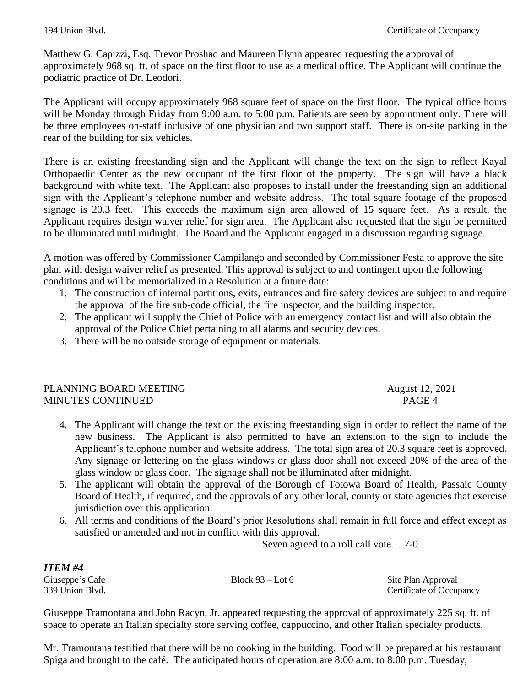Matthew G. Capizzi, Esq. Trevor Proshad and Maureen Flynn appeared requesting the approval of approximately 968 sq. ft. of space on the first floor to use as a medical office. The Applicant will continue the podiatric practice of Dr. Leodori.

The Applicant will occupy approximately 968 square feet of space on the first floor. The typical office hours will be Monday through Friday from 9:00 a.m. to 5:00 p.m. Patients are seen by appointment only. There will be three employees on-staff inclusive of one physician and two support staff. There is on-site parking in the rear of the building for six vehicles.

There is an existing freestanding sign and the Applicant will change the text on the sign to reflect Kayal Orthopaedic Center as the new occupant of the first floor of the property. The sign will have a black background with white text. The Applicant also proposes to install under the freestanding sign an additional sign with the Applicant's telephone number and website address. The total square footage of the proposed signage is 20.3 feet. This exceeds the maximum sign area allowed of 15 square feet. As a result, the Applicant requires design waiver relief for sign area. The Applicant also requested that the sign be permitted to be illuminated until midnight. The Board and the Applicant engaged in a discussion regarding signage.

A motion was offered by Commissioner Campilango and seconded by Commissioner Festa to approve the site plan with design waiver relief as presented. This approval is subject to and contingent upon the following conditions and will be memorialized in a Resolution at a future date:

- 1. The construction of internal partitions, exits, entrances and fire safety devices are subject to and require the approval of the fire sub-code official, the fire inspector, and the building inspector.
- 2. The applicant will supply the Chief of Police with an emergency contact list and will also obtain the approval of the Police Chief pertaining to all alarms and security devices.
- 3. There will be no outside storage of equipment or materials.

## PLANNING BOARD MEETING August 12, 2021 MINUTES CONTINUED **PAGE 4**

- 4. The Applicant will change the text on the existing freestanding sign in order to reflect the name of the new business. The Applicant is also permitted to have an extension to the sign to include the Applicant's telephone number and website address. The total sign area of 20.3 square feet is approved. Any signage or lettering on the glass windows or glass door shall not exceed 20% of the area of the glass window or glass door. The signage shall not be illuminated after midnight.
- 5. The applicant will obtain the approval of the Borough of Totowa Board of Health, Passaic County Board of Health, if required, and the approvals of any other local, county or state agencies that exercise jurisdiction over this application.
- 6. All terms and conditions of the Board's prior Resolutions shall remain in full force and effect except as satisfied or amended and not in conflict with this approval.

Seven agreed to a roll call vote… 7-0

| <b>ITEM#4</b>   |                    |                          |
|-----------------|--------------------|--------------------------|
| Giuseppe's Cafe | Block $93 -$ Lot 6 | Site Plan Approval       |
| 339 Union Blvd. |                    | Certificate of Occupancy |

Giuseppe Tramontana and John Racyn, Jr. appeared requesting the approval of approximately 225 sq. ft. of space to operate an Italian specialty store serving coffee, cappuccino, and other Italian specialty products.

Mr. Tramontana testified that there will be no cooking in the building. Food will be prepared at his restaurant Spiga and brought to the café. The anticipated hours of operation are 8:00 a.m. to 8:00 p.m. Tuesday,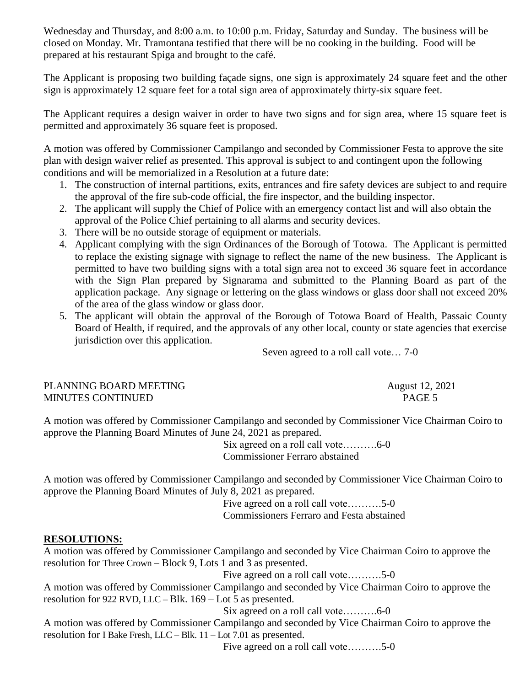Wednesday and Thursday, and 8:00 a.m. to 10:00 p.m. Friday, Saturday and Sunday. The business will be closed on Monday. Mr. Tramontana testified that there will be no cooking in the building. Food will be prepared at his restaurant Spiga and brought to the café.

The Applicant is proposing two building façade signs, one sign is approximately 24 square feet and the other sign is approximately 12 square feet for a total sign area of approximately thirty-six square feet.

The Applicant requires a design waiver in order to have two signs and for sign area, where 15 square feet is permitted and approximately 36 square feet is proposed.

A motion was offered by Commissioner Campilango and seconded by Commissioner Festa to approve the site plan with design waiver relief as presented. This approval is subject to and contingent upon the following conditions and will be memorialized in a Resolution at a future date:

- 1. The construction of internal partitions, exits, entrances and fire safety devices are subject to and require the approval of the fire sub-code official, the fire inspector, and the building inspector.
- 2. The applicant will supply the Chief of Police with an emergency contact list and will also obtain the approval of the Police Chief pertaining to all alarms and security devices.
- 3. There will be no outside storage of equipment or materials.
- 4. Applicant complying with the sign Ordinances of the Borough of Totowa. The Applicant is permitted to replace the existing signage with signage to reflect the name of the new business. The Applicant is permitted to have two building signs with a total sign area not to exceed 36 square feet in accordance with the Sign Plan prepared by Signarama and submitted to the Planning Board as part of the application package. Any signage or lettering on the glass windows or glass door shall not exceed 20% of the area of the glass window or glass door.
- 5. The applicant will obtain the approval of the Borough of Totowa Board of Health, Passaic County Board of Health, if required, and the approvals of any other local, county or state agencies that exercise jurisdiction over this application.

Seven agreed to a roll call vote… 7-0

PLANNING BOARD MEETING August 12, 2021 MINUTES CONTINUED **PAGE 5** 

A motion was offered by Commissioner Campilango and seconded by Commissioner Vice Chairman Coiro to approve the Planning Board Minutes of June 24, 2021 as prepared.

Six agreed on a roll call vote……….6-0 Commissioner Ferraro abstained

A motion was offered by Commissioner Campilango and seconded by Commissioner Vice Chairman Coiro to approve the Planning Board Minutes of July 8, 2021 as prepared.

Five agreed on a roll call vote……….5-0 Commissioners Ferraro and Festa abstained

## **RESOLUTIONS:**

A motion was offered by Commissioner Campilango and seconded by Vice Chairman Coiro to approve the resolution for Three Crown – Block 9, Lots 1 and 3 as presented.

Five agreed on a roll call vote……….5-0

A motion was offered by Commissioner Campilango and seconded by Vice Chairman Coiro to approve the resolution for 922 RVD, LLC – Blk. 169 – Lot 5 as presented.

Six agreed on a roll call vote……….6-0

A motion was offered by Commissioner Campilango and seconded by Vice Chairman Coiro to approve the resolution for I Bake Fresh, LLC – Blk. 11 – Lot 7.01 as presented.

Five agreed on a roll call vote……….5-0